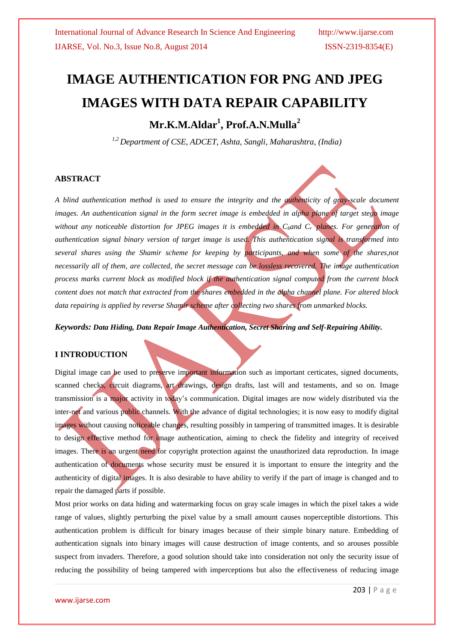# **IMAGE AUTHENTICATION FOR PNG AND JPEG IMAGES WITH DATA REPAIR CAPABILITY**

# **Mr.K.M.Aldar<sup>1</sup> , Prof.A.N.Mulla<sup>2</sup>**

*1,2 Department of CSE, ADCET, Ashta, Sangli, Maharashtra, (India)*

#### **ABSTRACT**

*A blind authentication method is used to ensure the integrity and the authenticity of gray-scale document images. An authentication signal in the form secret image is embedded in alpha plane of target stego image without any noticeable distortion for JPEG images it is embedded in Cband Cr planes. For generation of authentication signal binary version of target image is used. This authentication signal is transformed into several shares using the Shamir scheme for keeping by participants, and when some of the shares,not necessarily all of them, are collected, the secret message can be lossless recovered. The image authentication process marks current block as modified block if the authentication signal computed from the current block content does not match that extracted from the shares embedded in the alpha channel plane. For altered block data repairing is applied by reverse Shamir scheme after collecting two shares from unmarked blocks.*

*Keywords: Data Hiding, Data Repair Image Authentication, Secret Sharing and Self-Repairing Ability.*

## **I INTRODUCTION**

Digital image can be used to preserve important information such as important certicates, signed documents, scanned checks, circuit diagrams, art drawings, design drafts, last will and testaments, and so on. Image transmission is a major activity in today's communication. Digital images are now widely distributed via the inter-net and various public channels. With the advance of digital technologies; it is now easy to modify digital images without causing noticeable changes, resulting possibly in tampering of transmitted images. It is desirable to design effective method for image authentication, aiming to check the fidelity and integrity of received images. There is an urgent need for copyright protection against the unauthorized data reproduction. In image authentication of documents whose security must be ensured it is important to ensure the integrity and the authenticity of digital images. It is also desirable to have ability to verify if the part of image is changed and to repair the damaged parts if possible.

Most prior works on data hiding and watermarking focus on gray scale images in which the pixel takes a wide range of values, slightly perturbing the pixel value by a small amount causes noperceptible distortions. This authentication problem is difficult for binary images because of their simple binary nature. Embedding of authentication signals into binary images will cause destruction of image contents, and so arouses possible suspect from invaders. Therefore, a good solution should take into consideration not only the security issue of reducing the possibility of being tampered with imperceptions but also the effectiveness of reducing image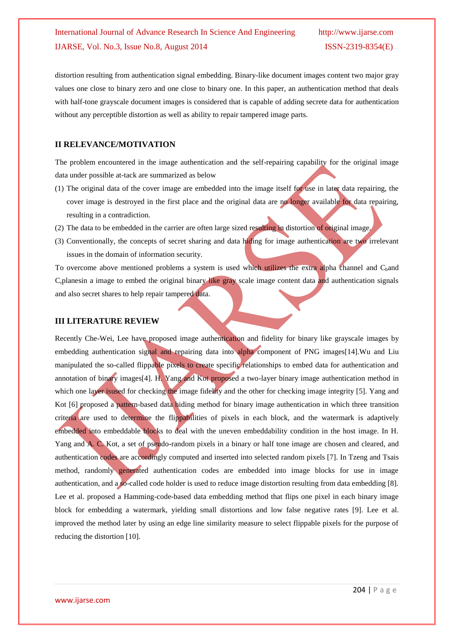distortion resulting from authentication signal embedding. Binary-like document images content two major gray values one close to binary zero and one close to binary one. In this paper, an authentication method that deals with half-tone grayscale document images is considered that is capable of adding secrete data for authentication without any perceptible distortion as well as ability to repair tampered image parts.

## **II RELEVANCE/MOTIVATION**

The problem encountered in the image authentication and the self-repairing capability for the original image data under possible at-tack are summarized as below

- (1) The original data of the cover image are embedded into the image itself for use in later data repairing, the cover image is destroyed in the first place and the original data are no longer available for data repairing, resulting in a contradiction.
- (2) The data to be embedded in the carrier are often large sized resulting in distortion of original image.
- (3) Conventionally, the concepts of secret sharing and data hiding for image authentication are two irrelevant issues in the domain of information security.

To overcome above mentioned problems a system is used which utilizes the extra alpha channel and  $C<sub>h</sub>$ and Crplanesin a image to embed the original binary like gray scale image content data and authentication signals and also secret shares to help repair tampered data.

## **III LITERATURE REVIEW**

Recently Che-Wei, Lee have proposed image authentication and fidelity for binary like grayscale images by embedding authentication signal and repairing data into alpha component of PNG images[14].Wu and Liu manipulated the so-called flippable pixels to create specific relationships to embed data for authentication and annotation of binary images[4]. H. Yang and Kot proposed a two-layer binary image authentication method in which one layer is used for checking the image fidelity and the other for checking image integrity [5]. Yang and Kot [6] proposed a pattern-based data hiding method for binary image authentication in which three transition criteria are used to determine the flippabilities of pixels in each block, and the watermark is adaptively embedded into embeddable blocks to deal with the uneven embeddability condition in the host image. In H. Yang and A. C. Kot, a set of pseudo-random pixels in a binary or half tone image are chosen and cleared, and authentication codes are accordingly computed and inserted into selected random pixels [7]. In Tzeng and Tsais method, randomly generated authentication codes are embedded into image blocks for use in image authentication, and a so-called code holder is used to reduce image distortion resulting from data embedding [8]. Lee et al. proposed a Hamming-code-based data embedding method that flips one pixel in each binary image block for embedding a watermark, yielding small distortions and low false negative rates [9]. Lee et al. improved the method later by using an edge line similarity measure to select flippable pixels for the purpose of reducing the distortion [10].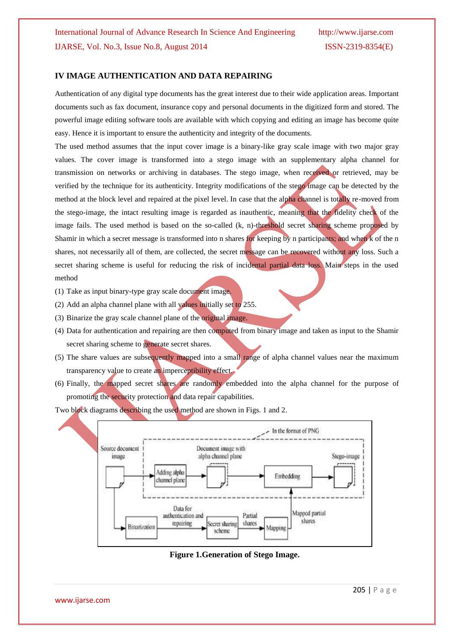#### **IV IMAGE AUTHENTICATION AND DATA REPAIRING**

Authentication of any digital type documents has the great interest due to their wide application areas. Important documents such as fax document, insurance copy and personal documents in the digitized form and stored. The powerful image editing software tools are available with which copying and editing an image has become quite easy. Hence it is important to ensure the authenticity and integrity of the documents.

The used method assumes that the input cover image is a binary-like gray scale image with two major gray values. The cover image is transformed into a stego image with an supplementary alpha channel for transmission on networks or archiving in databases. The stego image, when received or retrieved, may be verified by the technique for its authenticity. Integrity modifications of the stego image can be detected by the method at the block level and repaired at the pixel level. In case that the alpha channel is totally re-moved from the stego-image, the intact resulting image is regarded as inauthentic, meaning that the fidelity check of the image fails. The used method is based on the so-called (k, n)-threshold secret sharing scheme proposed by Shamir in which a secret message is transformed into n shares for keeping by n participants; and when k of the n shares, not necessarily all of them, are collected, the secret message can be recovered without any loss. Such a secret sharing scheme is useful for reducing the risk of incidental partial data loss. Main steps in the used method

- (1) Take as input binary-type gray scale document image.
- (2) Add an alpha channel plane with all values initially set to 255.
- (3) Binarize the gray scale channel plane of the original image.
- (4) Data for authentication and repairing are then computed from binary image and taken as input to the Shamir secret sharing scheme to generate secret shares.
- (5) The share values are subsequently mapped into a small range of alpha channel values near the maximum transparency value to create an imperceptibility effect.
- (6) Finally, the mapped secret shares are randomly embedded into the alpha channel for the purpose of promoting the security protection and data repair capabilities.



Two block diagrams describing the used method are shown in Figs. 1 and 2.

**Figure 1.Generation of Stego Image.**

www.ijarse.com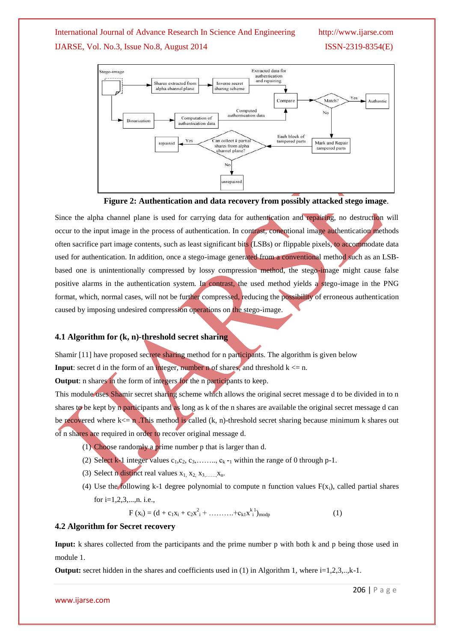## International Journal of Advance Research In Science And Engineering http://www.ijarse.com

IJARSE, Vol. No.3, Issue No.8, August 2014 ISSN-2319-8354(E)







Since the alpha channel plane is used for carrying data for authentication and repairing, no destruction will occur to the input image in the process of authentication. In contrast, conentional image authentication methods often sacrifice part image contents, such as least significant bits (LSBs) or flippable pixels, to accommodate data used for authentication. In addition, once a stego-image generated from a conventional method such as an LSBbased one is unintentionally compressed by lossy compression method, the stego-image might cause false positive alarms in the authentication system. In contrast, the used method yields a stego-image in the PNG format, which, normal cases, will not be further compressed, reducing the possibility of erroneous authentication caused by imposing undesired compression operations on the stego-image.

#### **4.1 Algorithm for (k, n)-threshold secret sharing**

Shamir [11] have proposed secrete sharing method for n participants. The algorithm is given below

**Input**: secret d in the form of an integer, number n of shares, and threshold  $k \le n$ .

**Output:** n shares in the form of integers for the n participants to keep.

This module uses Shamir secret sharing scheme which allows the original secret message d to be divided in to n shares to be kept by n participants and as long as k of the n shares are available the original secret message d can be recovered where  $k \le n$ . This method is called  $(k, n)$ -threshold secret sharing because minimum k shares out of n shares are required in order to recover original message d.

- (1) Choose randomly a prime number p that is larger than d.
- (2) Select k-1 integer values  $c_1, c_2, c_3, \ldots, c_k$  **-**<sub>1</sub> within the range of 0 through p-1.
- (3) Select n distinct real values  $x_1, x_2, x_3, \ldots, x_n$ .
- (4) Use the following k-1 degree polynomial to compute n function values  $F(x_i)$ , called partial shares for i=1,2,3,...,n. i.e.,

$$
F(x_i) = (d + c_1x_i + c_2x_i^2 + \dots + c_kx_i^{k-1})_{\text{modp}}
$$
(1)

#### **4.2 Algorithm for Secret recovery**

**Input:** k shares collected from the participants and the prime number p with both k and p being those used in module 1.

**Output:** secret hidden in the shares and coefficients used in  $(1)$  in Algorithm 1, where  $i=1,2,3,..,k-1$ .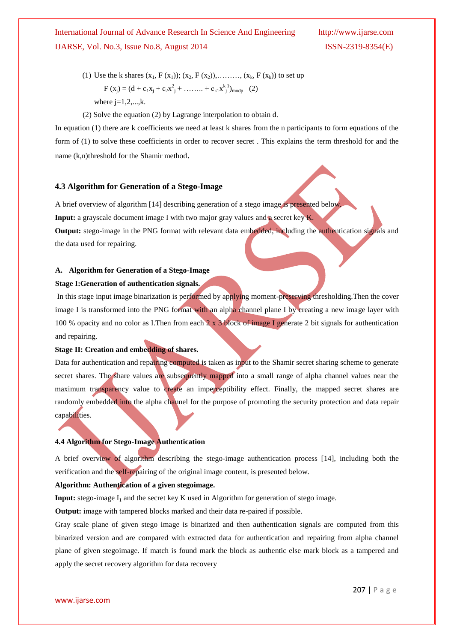- (1) Use the k shares  $(x_1, F(x_1))$ ;  $(x_2, F(x_2))$ , .......,  $(x_k, F(x_k))$  to set up  $F (x_j) = (d + c_1x_j + c_2x_j^2 + \dots + c_{k1}x_j^{k1})_{\text{modp}}$  (2) where  $i=1,2,...,k$ .
- (2) Solve the equation (2) by Lagrange interpolation to obtain d.

In equation (1) there are k coefficients we need at least k shares from the n participants to form equations of the form of (1) to solve these coefficients in order to recover secret . This explains the term threshold for and the name (k,n)threshold for the Shamir method.

#### **4.3 Algorithm for Generation of a Stego-Image**

A brief overview of algorithm [14] describing generation of a stego image is presented below.

**Input:** a grayscale document image I with two major gray values and a secret key K.

**Output:** stego-image in the PNG format with relevant data embedded, including the authentication signals and the data used for repairing.

# **A. Algorithm for Generation of a Stego-Image**

## **Stage I:Generation of authentication signals.**

In this stage input image binarization is performed by applying moment-preserving thresholding.Then the cover image I is transformed into the PNG format with an alpha channel plane I by creating a new image layer with 100 % opacity and no color as I.Then from each 2 x 3 block of image I generate 2 bit signals for authentication and repairing.

# **Stage II: Creation and embedding of shares.**

Data for authentication and repairing computed is taken as input to the Shamir secret sharing scheme to generate secret shares. The share values are subsequently mapped into a small range of alpha channel values near the maximum transparency value to create an imperceptibility effect. Finally, the mapped secret shares are randomly embedded into the alpha channel for the purpose of promoting the security protection and data repair capabilities.

#### **4.4 Algorithm for Stego-Image Authentication**

A brief overview of algorithm describing the stego-image authentication process [14], including both the verification and the self-repairing of the original image content, is presented below.

#### **Algorithm: Authentication of a given stegoimage.**

**Input:** stego-image  $I_1$  and the secret key K used in Algorithm for generation of stego image.

**Output:** image with tampered blocks marked and their data re-paired if possible.

Gray scale plane of given stego image is binarized and then authentication signals are computed from this binarized version and are compared with extracted data for authentication and repairing from alpha channel plane of given stegoimage. If match is found mark the block as authentic else mark block as a tampered and apply the secret recovery algorithm for data recovery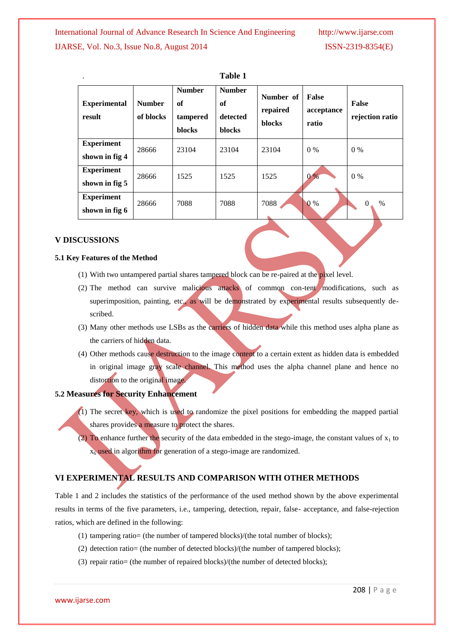| <b>Experimental</b><br>result       | <b>Number</b><br>of blocks | <b>Number</b><br>of<br>tampered<br><b>blocks</b> | <b>Number</b><br>of<br>detected<br><b>blocks</b> | Number of<br>repaired<br><b>blocks</b> | False<br>acceptance<br>ratio | <b>False</b><br>rejection ratio |
|-------------------------------------|----------------------------|--------------------------------------------------|--------------------------------------------------|----------------------------------------|------------------------------|---------------------------------|
| <b>Experiment</b><br>shown in fig 4 | 28666                      | 23104                                            | 23104                                            | 23104                                  | $0\%$                        | $0\%$                           |
| <b>Experiment</b><br>shown in fig 5 | 28666                      | 1525                                             | 1525                                             | 1525                                   | 0%                           | $0\%$                           |
| <b>Experiment</b><br>shown in fig 6 | 28666                      | 7088                                             | 7088                                             | 7088                                   | $0\%$                        | $\%$<br>$\mathbf{0}$            |

| <b>Table 1</b> |  |
|----------------|--|
|                |  |

#### **V DISCUSSIONS**

#### **5.1 Key Features of the Method**

- (1) With two untampered partial shares tampered block can be re-paired at the pixel level.
- (2) The method can survive malicious attacks of common con-tent modifications, such as superimposition, painting, etc., as will be demonstrated by experimental results subsequently described.
- (3) Many other methods use LSBs as the carriers of hidden data while this method uses alpha plane as the carriers of hidden data.
- (4) Other methods cause destruction to the image content to a certain extent as hidden data is embedded in original image gray scale channel. This method uses the alpha channel plane and hence no distortion to the original image.

## **5.2 Measures for Security Enhancement**

- (1) The secret key, which is used to randomize the pixel positions for embedding the mapped partial shares provides a measure to protect the shares.
- (2) To enhance further the security of the data embedded in the stego-image, the constant values of  $x_1$  to  $x<sub>6</sub>$  used in algorithm for generation of a stego-image are randomized.

# **VI EXPERIMENTAL RESULTS AND COMPARISON WITH OTHER METHODS**

Table 1 and 2 includes the statistics of the performance of the used method shown by the above experimental results in terms of the five parameters, i.e., tampering, detection, repair, false- acceptance, and false-rejection ratios, which are defined in the following:

- (1) tampering ratio= (the number of tampered blocks)/(the total number of blocks);
- (2) detection ratio= (the number of detected blocks)/(the number of tampered blocks);
- (3) repair ratio= (the number of repaired blocks)/(the number of detected blocks);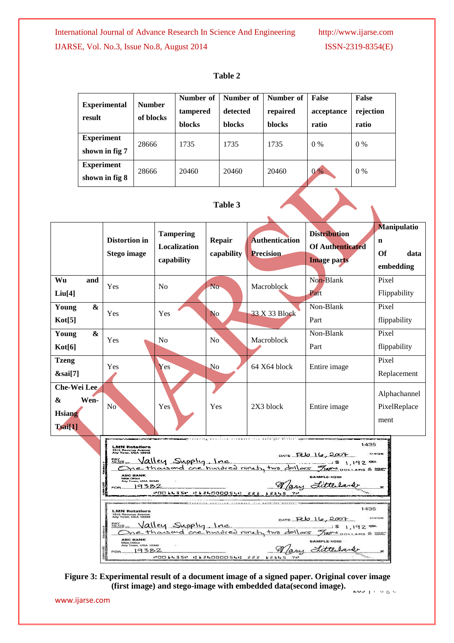| <b>Experimental</b><br>result       | <b>Number</b><br>of blocks | Number of<br>tampered<br><b>blocks</b> | Number of<br>detected<br><b>blocks</b> | Number of<br>repaired<br><b>blocks</b> | <b>False</b><br>acceptance<br>ratio | <b>False</b><br>rejection<br>ratio |
|-------------------------------------|----------------------------|----------------------------------------|----------------------------------------|----------------------------------------|-------------------------------------|------------------------------------|
| <b>Experiment</b><br>shown in fig 7 | 28666                      | 1735                                   | 1735                                   | 1735                                   | $0\%$                               | $0\%$                              |
| <b>Experiment</b><br>shown in fig 8 | 28666                      | 20460                                  | 20460                                  | 20460                                  | $0\%$                               | $0\%$                              |

#### **Table 2**





 $20J + F$  a g  $E$ **Figure 3: Experimental result of a document image of a signed paper. Original cover image (first image) and stego-image with embedded data(second image).**

www.ijarse.com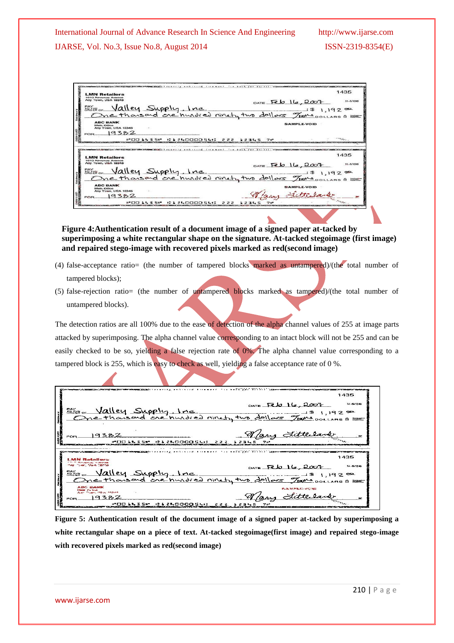| <b>LMN Retailers</b>                        | 1435                                                                               |
|---------------------------------------------|------------------------------------------------------------------------------------|
| 1010 Revenue Avenue<br>Any Town, USA 12345  |                                                                                    |
|                                             | DATE $Feb$ $16,2007$                                                               |
|                                             | BOTHELL Supply, Inc. 5 1,192 =                                                     |
|                                             |                                                                                    |
|                                             |                                                                                    |
| <b>ABC BANK</b>                             |                                                                                    |
| Main Office<br>Any Town, USA 12345          | SAMPLE-VOID                                                                        |
| 19397                                       |                                                                                    |
| FOR.                                        |                                                                                    |
| いわり ししょちい                                   | 222<br>レアモレニ                                                                       |
|                                             |                                                                                    |
|                                             |                                                                                    |
|                                             |                                                                                    |
|                                             | <b>MCANAMICACOELS CCHAITS AND INSERT THE MANY THE BACK FOR ACT REL. COMPONENTS</b> |
|                                             | 1435                                                                               |
| <b>LMN Retailers</b><br>1010 Revenue Avenue |                                                                                    |
|                                             |                                                                                    |
|                                             | DATE $Feb$ $16,2007$                                                               |
| Any Town, USA 12345                         |                                                                                    |
|                                             |                                                                                    |
|                                             |                                                                                    |
| <b>ABC BANK</b>                             |                                                                                    |
| Main Office                                 | SAMPLE-VOID                                                                        |
| Any Town, USA 12345                         |                                                                                    |
| 19382<br><b>EOR</b>                         | Southern Valley Supply, Inc. 5, 1928                                               |

**Figure 4:Authentication result of a document image of a signed paper at-tacked by superimposing a white rectangular shape on the signature. At-tacked stegoimage (first image) and repaired stego-image with recovered pixels marked as red(second image)**

- (4) false-acceptance ratio= (the number of tampered blocks marked as untampered)/(the total number of tampered blocks);
- (5) false-rejection ratio= (the number of untampered blocks marked as tampered)/(the total number of untampered blocks).

The detection ratios are all 100% due to the ease of detection of the alpha channel values of 255 at image parts attacked by superimposing. The alpha channel value corresponding to an intact block will not be 255 and can be easily checked to be so, yielding a false rejection rate of 0%. The alpha channel value corresponding to a tampered block is 255, which is easy to check as well, yielding a false acceptance rate of 0 %.

**CONTRACTOR** CRESTING 1435 11-5/124 DATE Feb 16, 2007 Valley Supply, Inc. **RAY**  $1 \,$ \$  $1.192$ me thousand one hundred ninety two doll  $DOLLARS$   $\otimes$   $\mathbb{R}$ Vary Littlesa 19382 IMOO AN 3 SH 01240000540 12345 1435  $-35000$ 11-5/1240  $OATE$   $FEB$   $16.2007$ Valley Supply, Inc  $1$1928$  $\frac{9}{2}$ lare ool re thousand one hundred ninety two dollars  $ABC$   $B$   $\overline{AB}$ **BAMPLE-VOID** Nary Little  $382$ q **MOO LLISM DI 2LO000SLC** 76 12345

**Figure 5: Authentication result of the document image of a signed paper at-tacked by superimposing a white rectangular shape on a piece of text. At-tacked stegoimage(first image) and repaired stego-image with recovered pixels marked as red(second image)**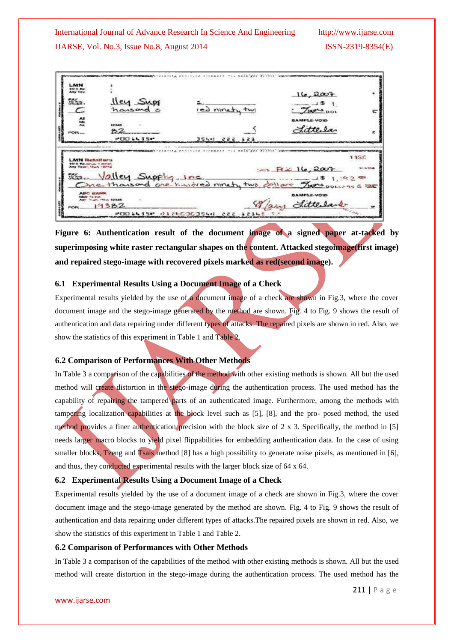

**Figure 6: Authentication result of the document image of a signed paper at-tacked by superimposing white raster rectangular shapes on the content. Attacked stegoimage(first image) and repaired stego-image with recovered pixels marked as red(second image).**

#### **6.1 Experimental Results Using a Document Image of a Check**

Experimental results yielded by the use of a document image of a check are shown in Fig.3, where the cover document image and the stego-image generated by the method are shown. Fig. 4 to Fig. 9 shows the result of authentication and data repairing under different types of attacks. The repaired pixels are shown in red. Also, we show the statistics of this experiment in Table 1 and Table 2.

#### **6.2 Comparison of Performances With Other Methods**

In Table 3 a comparison of the capabilities of the method with other existing methods is shown. All but the used method will create distortion in the stego-image during the authentication process. The used method has the capability of repairing the tampered parts of an authenticated image. Furthermore, among the methods with tampering localization capabilities at the block level such as [5], [8], and the pro- posed method, the used method provides a finer authentication precision with the block size of 2 x 3. Specifically, the method in [5] needs larger macro blocks to yield pixel flippabilities for embedding authentication data. In the case of using smaller blocks, Tzeng and Tsais method [8] has a high possibility to generate noise pixels, as mentioned in [6], and thus, they conducted experimental results with the larger block size of 64 x 64.

#### **6.2 Experimental Results Using a Document Image of a Check**

Experimental results yielded by the use of a document image of a check are shown in Fig.3, where the cover document image and the stego-image generated by the method are shown. Fig. 4 to Fig. 9 shows the result of authentication and data repairing under different types of attacks.The repaired pixels are shown in red. Also, we show the statistics of this experiment in Table 1 and Table 2.

#### **6.2 Comparison of Performances with Other Methods**

In Table 3 a comparison of the capabilities of the method with other existing methods is shown. All but the used method will create distortion in the stego-image during the authentication process. The used method has the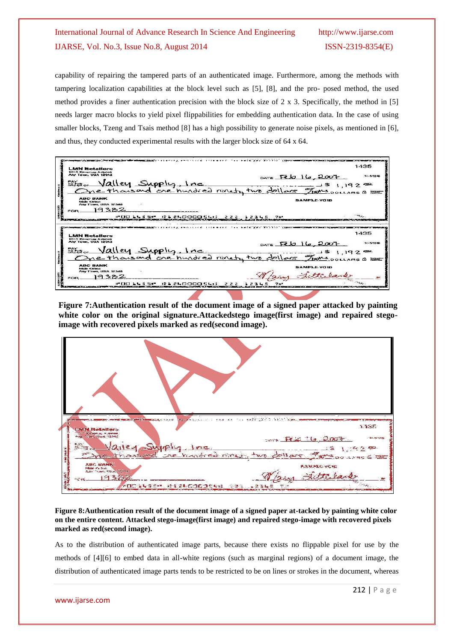capability of repairing the tampered parts of an authenticated image. Furthermore, among the methods with tampering localization capabilities at the block level such as [5], [8], and the pro- posed method, the used method provides a finer authentication precision with the block size of 2 x 3. Specifically, the method in [5] needs larger macro blocks to yield pixel flippabilities for embedding authentication data. In the case of using smaller blocks, Tzeng and Tsais method [8] has a high possibility to generate noise pixels, as mentioned in [6], and thus, they conducted experimental results with the larger block size of 64 x 64.

| <b>LMN Retailers</b>                                                             |                                                                                                                 | 1435       |
|----------------------------------------------------------------------------------|-----------------------------------------------------------------------------------------------------------------|------------|
| 1010 Revenue Avenue                                                              |                                                                                                                 |            |
| Any Town, USA 12045                                                              | $0.475$ Feb $16,200$                                                                                            | 31-5/12:40 |
|                                                                                  |                                                                                                                 |            |
| Filmor Valley Supply, Inc. 401/05 7/08 1, 19200                                  |                                                                                                                 |            |
| <b>ABC BANK</b><br><b>Adoles schifferer</b>                                      | <b>SAMPLE-VOID</b>                                                                                              |            |
| Ariv Town, USA 12345                                                             |                                                                                                                 |            |
| 129.7<br><b>FOR</b>                                                              |                                                                                                                 |            |
|                                                                                  |                                                                                                                 |            |
| <b>CI 240000546</b><br>MOD LL 3 SM.                                              | 222 12345                                                                                                       |            |
|                                                                                  |                                                                                                                 |            |
|                                                                                  | уун барагын башкан барда басан тартан басан бараган бараган башкан. Картай башкан башкан башкан башкан башкан б |            |
|                                                                                  |                                                                                                                 | 1435       |
| the company of the company of the<br><b>LMN Retailers</b><br>1010 Revenue Avenue |                                                                                                                 |            |
| Any Town, USA 12345                                                              | $_{\text{DATE}}$ $Ebb16.2007$                                                                                   | 31-5/124   |
|                                                                                  |                                                                                                                 |            |
|                                                                                  |                                                                                                                 |            |
| min Valley Supply Inc. 110 dollars 9 1, 192 =                                    |                                                                                                                 |            |
| <b>ABC BANK</b><br><b>Adoles Chillings</b>                                       | <b>SAMPLE-VOID</b>                                                                                              |            |
| Any Town, USA 12345                                                              |                                                                                                                 |            |
| 9332<br><b>FOR</b>                                                               |                                                                                                                 |            |

**Figure 7:Authentication result of the document image of a signed paper attacked by painting white color on the original signature.Attackedstego image(first image) and repaired stegoimage with recovered pixels marked as red(second image).**

| <b>Construction of the construction of the Construction of the Construction of the Construction of the Construction</b><br>24 100 5 2 3 4 5 5 7<br>1135<br><b>LMN Retailers</b><br><b>COMPARISON - Jerisa</b><br>Any 15 am UsA 12246<br>2007<br>$36 - 124$<br>Mailey Supply, Inc. the dollar Forsomes out<br><b>ABC BANK</b><br><b>BAMPLO-VOID</b><br><b>Male</b> faire<br>Aler There How Takes<br>143352<br>÷ce<br>MOC WASEM IN A ALCOCORAN<br>888 SBBL |  |
|----------------------------------------------------------------------------------------------------------------------------------------------------------------------------------------------------------------------------------------------------------------------------------------------------------------------------------------------------------------------------------------------------------------------------------------------------------|--|

**Figure 8:Authentication result of the document image of a signed paper at-tacked by painting white color on the entire content. Attacked stego-image(first image) and repaired stego-image with recovered pixels marked as red(second image).**

As to the distribution of authenticated image parts, because there exists no flippable pixel for use by the methods of [4][6] to embed data in all-white regions (such as marginal regions) of a document image, the distribution of authenticated image parts tends to be restricted to be on lines or strokes in the document, whereas

www.ijarse.com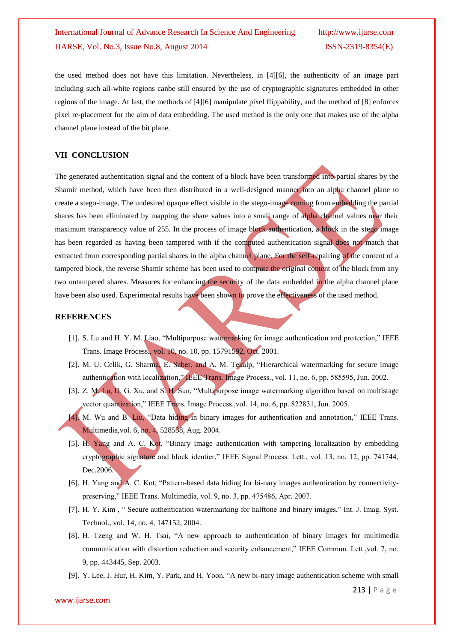the used method does not have this limitation. Nevertheless, in [4][6], the authenticity of an image part including such all-white regions canbe still ensured by the use of cryptographic signatures embedded in other regions of the image. At last, the methods of [4][6] manipulate pixel flippability, and the method of [8] enforces pixel re-placement for the aim of data embedding. The used method is the only one that makes use of the alpha channel plane instead of the bit plane.

## **VII CONCLUSION**

The generated authentication signal and the content of a block have been transformed into partial shares by the Shamir method, which have been then distributed in a well-designed manner into an alpha channel plane to create a stego-image. The undesired opaque effect visible in the stego-image coming from embedding the partial shares has been eliminated by mapping the share values into a small range of alpha channel values near their maximum transparency value of 255. In the process of image block authentication, a block in the stego image has been regarded as having been tampered with if the computed authentication signal does not match that extracted from corresponding partial shares in the alpha channel plane. For the self-repairing of the content of a tampered block, the reverse Shamir scheme has been used to compute the original content of the block from any two untampered shares. Measures for enhancing the security of the data embedded in the alpha channel plane have been also used. Experimental results have been shown to prove the effectiveness of the used method.

# **REFERENCES**

- [1]. S. Lu and H. Y. M. Liao, "Multipurpose watermarking for image authentication and protection," IEEE Trans. Image Process., vol. 10, no. 10, pp. 15791592, Oct. 2001.
- [2]. M. U. Celik, G. Sharma, E. Saber, and A. M. Tekalp, "Hierarchical watermarking for secure image authentication with localization," IEEE Trans. Image Process., vol. 11, no. 6, pp. 585595, Jun. 2002.
- [3]. Z. M. Lu, D. G. Xu, and S. H. Sun, "Multipurpose image watermarking algorithm based on multistage vector quantization," IEEE Trans. Image Process.,vol. 14, no. 6, pp. 822831, Jun. 2005.
- [4]. M. Wu and B. Liu, "Data hiding in binary images for authentication and annotation," IEEE Trans. Multimedia,vol. 6, no. 4, 528538, Aug. 2004.
- [5]. H. Yang and A. C. Kot, "Binary image authentication with tampering localization by embedding cryptographic signature and block identier," IEEE Signal Process. Lett., vol. 13, no. 12, pp. 741744, Dec.2006.
- [6]. H. Yang and A. C. Kot, "Pattern-based data hiding for bi-nary images authentication by connectivitypreserving," IEEE Trans. Multimedia, vol. 9, no. 3, pp. 475486, Apr. 2007.
- [7]. H. Y. Kim , " Secure authentication watermarking for halftone and binary images," Int. J. Imag. Syst. Technol., vol. 14, no. 4, 147152, 2004.
- [8]. H. Tzeng and W. H. Tsai, "A new approach to authentication of binary images for multimedia communication with distortion reduction and security enhancement," IEEE Commun. Lett.,vol. 7, no. 9, pp. 443445, Sep. 2003.
- [9]. Y. Lee, J. Hur, H. Kim, Y. Park, and H. Yoon, "A new bi-nary image authentication scheme with small